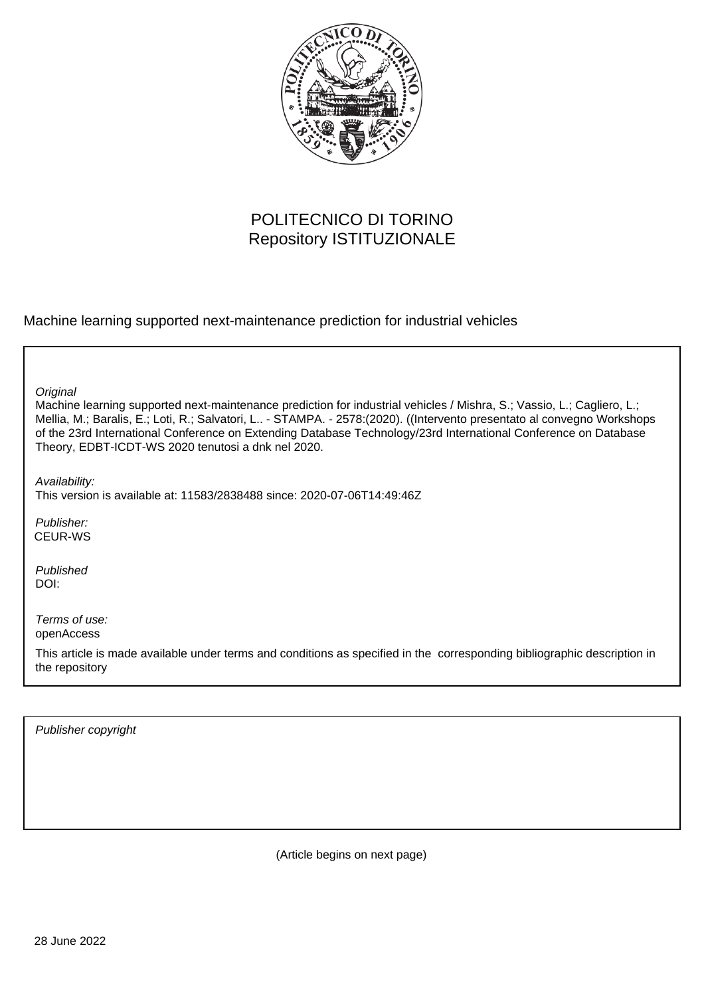

# POLITECNICO DI TORINO Repository ISTITUZIONALE

Machine learning supported next-maintenance prediction for industrial vehicles

**Original** 

Machine learning supported next-maintenance prediction for industrial vehicles / Mishra, S.; Vassio, L.; Cagliero, L.; Mellia, M.; Baralis, E.; Loti, R.; Salvatori, L.. - STAMPA. - 2578:(2020). ((Intervento presentato al convegno Workshops of the 23rd International Conference on Extending Database Technology/23rd International Conference on Database Theory, EDBT-ICDT-WS 2020 tenutosi a dnk nel 2020.

Availability:

This version is available at: 11583/2838488 since: 2020-07-06T14:49:46Z

Publisher: CEUR-WS

Published DOI:

Terms of use: openAccess

This article is made available under terms and conditions as specified in the corresponding bibliographic description in the repository

Publisher copyright

(Article begins on next page)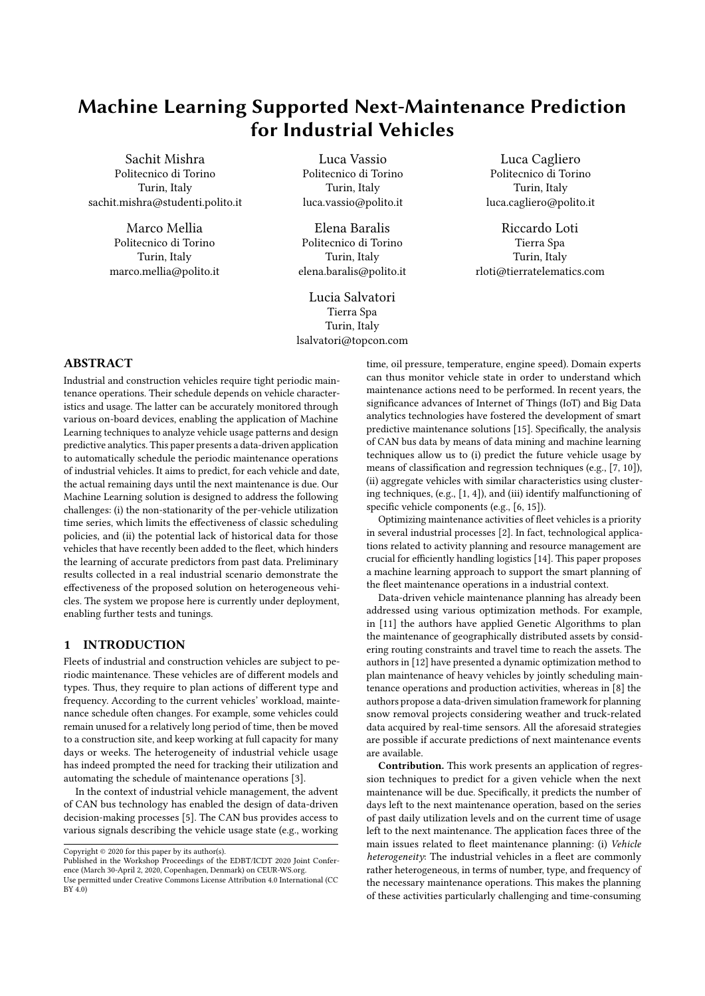# Machine Learning Supported Next-Maintenance Prediction for Industrial Vehicles

Sachit Mishra Politecnico di Torino Turin, Italy sachit.mishra@studenti.polito.it

> Marco Mellia Politecnico di Torino Turin, Italy marco.mellia@polito.it

Luca Vassio Politecnico di Torino Turin, Italy luca.vassio@polito.it

Elena Baralis Politecnico di Torino Turin, Italy elena.baralis@polito.it

Lucia Salvatori Tierra Spa Turin, Italy lsalvatori@topcon.com

Luca Cagliero Politecnico di Torino Turin, Italy luca.cagliero@polito.it

Riccardo Loti Tierra Spa Turin, Italy rloti@tierratelematics.com

# ABSTRACT

Industrial and construction vehicles require tight periodic maintenance operations. Their schedule depends on vehicle characteristics and usage. The latter can be accurately monitored through various on-board devices, enabling the application of Machine Learning techniques to analyze vehicle usage patterns and design predictive analytics. This paper presents a data-driven application to automatically schedule the periodic maintenance operations of industrial vehicles. It aims to predict, for each vehicle and date, the actual remaining days until the next maintenance is due. Our Machine Learning solution is designed to address the following challenges: (i) the non-stationarity of the per-vehicle utilization time series, which limits the effectiveness of classic scheduling policies, and (ii) the potential lack of historical data for those vehicles that have recently been added to the fleet, which hinders the learning of accurate predictors from past data. Preliminary results collected in a real industrial scenario demonstrate the effectiveness of the proposed solution on heterogeneous vehicles. The system we propose here is currently under deployment, enabling further tests and tunings.

# 1 INTRODUCTION

Fleets of industrial and construction vehicles are subject to periodic maintenance. These vehicles are of different models and types. Thus, they require to plan actions of different type and frequency. According to the current vehicles' workload, maintenance schedule often changes. For example, some vehicles could remain unused for a relatively long period of time, then be moved to a construction site, and keep working at full capacity for many days or weeks. The heterogeneity of industrial vehicle usage has indeed prompted the need for tracking their utilization and automating the schedule of maintenance operations [3].

In the context of industrial vehicle management, the advent of CAN bus technology has enabled the design of data-driven decision-making processes [5]. The CAN bus provides access to various signals describing the vehicle usage state (e.g., working

time, oil pressure, temperature, engine speed). Domain experts can thus monitor vehicle state in order to understand which maintenance actions need to be performed. In recent years, the significance advances of Internet of Things (IoT) and Big Data analytics technologies have fostered the development of smart predictive maintenance solutions [15]. Specifically, the analysis of CAN bus data by means of data mining and machine learning techniques allow us to (i) predict the future vehicle usage by means of classification and regression techniques (e.g., [7, 10]), (ii) aggregate vehicles with similar characteristics using clustering techniques, (e.g., [1, 4]), and (iii) identify malfunctioning of specific vehicle components (e.g., [6, 15]).

Optimizing maintenance activities of fleet vehicles is a priority in several industrial processes [2]. In fact, technological applications related to activity planning and resource management are crucial for efficiently handling logistics [14]. This paper proposes a machine learning approach to support the smart planning of the fleet maintenance operations in a industrial context.

Data-driven vehicle maintenance planning has already been addressed using various optimization methods. For example, in [11] the authors have applied Genetic Algorithms to plan the maintenance of geographically distributed assets by considering routing constraints and travel time to reach the assets. The authors in [12] have presented a dynamic optimization method to plan maintenance of heavy vehicles by jointly scheduling maintenance operations and production activities, whereas in [8] the authors propose a data-driven simulation framework for planning snow removal projects considering weather and truck-related data acquired by real-time sensors. All the aforesaid strategies are possible if accurate predictions of next maintenance events are available.

Contribution. This work presents an application of regression techniques to predict for a given vehicle when the next maintenance will be due. Specifically, it predicts the number of days left to the next maintenance operation, based on the series of past daily utilization levels and on the current time of usage left to the next maintenance. The application faces three of the main issues related to fleet maintenance planning: (i) Vehicle heterogeneity: The industrial vehicles in a fleet are commonly rather heterogeneous, in terms of number, type, and frequency of the necessary maintenance operations. This makes the planning of these activities particularly challenging and time-consuming

Copyright  $© 2020$  for this paper by its author(s).

Published in the Workshop Proceedings of the EDBT/ICDT 2020 Joint Conference (March 30-April 2, 2020, Copenhagen, Denmark) on CEUR-WS.org.

Use permitted under Creative Commons License Attribution 4.0 International (CC BY 4.0)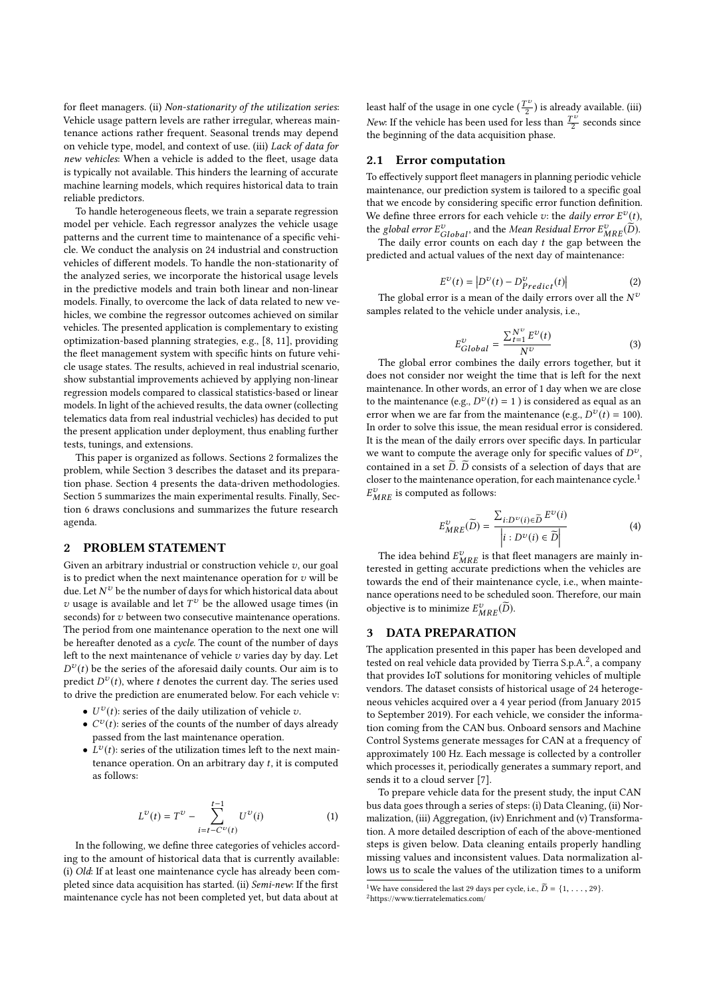for fleet managers. (ii) Non-stationarity of the utilization series: Vehicle usage pattern levels are rather irregular, whereas maintenance actions rather frequent. Seasonal trends may depend on vehicle type, model, and context of use. (iii) Lack of data for new vehicles: When a vehicle is added to the fleet, usage data is typically not available. This hinders the learning of accurate machine learning models, which requires historical data to train reliable predictors.

To handle heterogeneous fleets, we train a separate regression model per vehicle. Each regressor analyzes the vehicle usage patterns and the current time to maintenance of a specific vehicle. We conduct the analysis on 24 industrial and construction vehicles of different models. To handle the non-stationarity of the analyzed series, we incorporate the historical usage levels in the predictive models and train both linear and non-linear models. Finally, to overcome the lack of data related to new vehicles, we combine the regressor outcomes achieved on similar vehicles. The presented application is complementary to existing optimization-based planning strategies, e.g., [8, 11], providing the fleet management system with specific hints on future vehicle usage states. The results, achieved in real industrial scenario, show substantial improvements achieved by applying non-linear regression models compared to classical statistics-based or linear models. In light of the achieved results, the data owner (collecting telematics data from real industrial vechicles) has decided to put the present application under deployment, thus enabling further tests, tunings, and extensions.

This paper is organized as follows. Sections 2 formalizes the problem, while Section 3 describes the dataset and its preparation phase. Section 4 presents the data-driven methodologies. Section 5 summarizes the main experimental results. Finally, Section 6 draws conclusions and summarizes the future research agenda.

## 2 PROBLEM STATEMENT

Given an arbitrary industrial or construction vehicle  $v$ , our goal is to predict when the next maintenance operation for  $v$  will be due. Let  $N^{\upsilon}$  be the number of days for which historical data about  $v$  usage is available and let  $T^v$  be the allowed usage times (in seconds) for *v* between two consecutive maintenance operations. The period from one maintenance operation to the next one will be hereafter denoted as a cycle. The count of the number of days left to the next maintenance of vehicle  $v$  varies day by day. Let  $D^{\nu}(t)$  be the series of the aforesaid daily counts. Our aim is to predict  $D^{\nu}(t)$ , where t denotes the current day. The series used to drive the prediction are enumerated below. For each vehicle v:

- $U^v(t)$ : series of the daily utilization of vehicle  $v$ .
- $\bullet$   $C^v(t)$ : series of the counts of the number of days already passed from the last maintenance operation.
- $L^v(t)$ : series of the utilization times left to the next maintenance operation. On an arbitrary day t, it is computed as follows:

$$
L^{\nu}(t) = T^{\nu} - \sum_{i=t-C^{\nu}(t)}^{t-1} U^{\nu}(i)
$$
 (1)

In the following, we define three categories of vehicles according to the amount of historical data that is currently available: (i) Old: If at least one maintenance cycle has already been completed since data acquisition has started. (ii) Semi-new: If the first maintenance cycle has not been completed yet, but data about at

least half of the usage in one cycle  $(\frac{T^{\upsilon}}{2})$  is already available. (iii) New: If the vehicle has been used for less than  $\frac{T^{\upsilon}}{2}$  seconds since the beginning of the data acquisition phase.

#### 2.1 Error computation

To effectively support fleet managers in planning periodic vehicle maintenance, our prediction system is tailored to a specific goal that we encode by considering specific error function definition. We define three errors for each vehicle  $v$ : the *daily error*  $E^v(t)$ ,

the global error  $E_{Global}^{\nu}$ , and the Mean Residual Error  $E_{MRE}^{\nu}(\tilde{D})$ .<br>The daily error counts on each day t the gap between the predicted and actual values of the next day of maintenance:

$$
E^{\nu}(t) = \left| D^{\nu}(t) - D^{\nu}_{Predict}(t) \right| \tag{2}
$$

The global error is a mean of the daily errors over all the  $N^{\tau}$ samples related to the vehicle under analysis, i.e.,

$$
E_{Global}^{\nu} = \frac{\sum_{t=1}^{N^{\nu}} E^{\nu}(t)}{N^{\nu}}
$$
 (3)

The global error combines the daily errors together, but it does not consider nor weight the time that is left for the next maintenance. In other words, an error of 1 day when we are close to the maintenance (e.g.,  $D^{\nu}(t) = 1$ ) is considered as equal as an error when we are far from the maintenance (e.g.,  $D^{\nu}(t) = 100$ ). In order to solve this issue, the mean residual error is considered. It is the mean of the daily errors over specific days. In particular we want to compute the average only for specific values of  $D^v$ , contained in a set  $\widetilde{D}$ .  $\widetilde{D}$  consists of a selection of days that are closer to the maintenance operation, for each maintenance cycle.<sup>1</sup>  $E_{MRE}^{v}$  is computed as follows:

$$
E_{MRE}^{\nu}(\widetilde{D}) = \frac{\sum_{i:D^{\nu}(i) \in \widetilde{D}} E^{\nu}(i)}{\left|i : D^{\nu}(i) \in \widetilde{D}\right|} \tag{4}
$$

The idea behind  $E^v_{MRE}$  is that fleet managers are mainly interested in getting accurate predictions when the vehicles are towards the end of their maintenance cycle, i.e., when maintenance operations need to be scheduled soon. Therefore, our main objective is to minimize  $E_{MRE}^{\nu}(\widetilde{D})$ .

## 3 DATA PREPARATION

The application presented in this paper has been developed and tested on real vehicle data provided by Tierra S.p.A.<sup>2</sup>, a company that provides IoT solutions for monitoring vehicles of multiple vendors. The dataset consists of historical usage of 24 heterogeneous vehicles acquired over a 4 year period (from January 2015 to September 2019). For each vehicle, we consider the information coming from the CAN bus. Onboard sensors and Machine Control Systems generate messages for CAN at a frequency of approximately 100 Hz. Each message is collected by a controller which processes it, periodically generates a summary report, and sends it to a cloud server [7].

To prepare vehicle data for the present study, the input CAN bus data goes through a series of steps: (i) Data Cleaning, (ii) Normalization, (iii) Aggregation, (iv) Enrichment and (v) Transformation. A more detailed description of each of the above-mentioned steps is given below. Data cleaning entails properly handling missing values and inconsistent values. Data normalization allows us to scale the values of the utilization times to a uniform

<sup>&</sup>lt;sup>1</sup>We have considered the last 29 days per cycle, i.e.,  $\widetilde{D} = \{1, \ldots, 29\}$ . <sup>2</sup><https://www.tierratelematics.com/>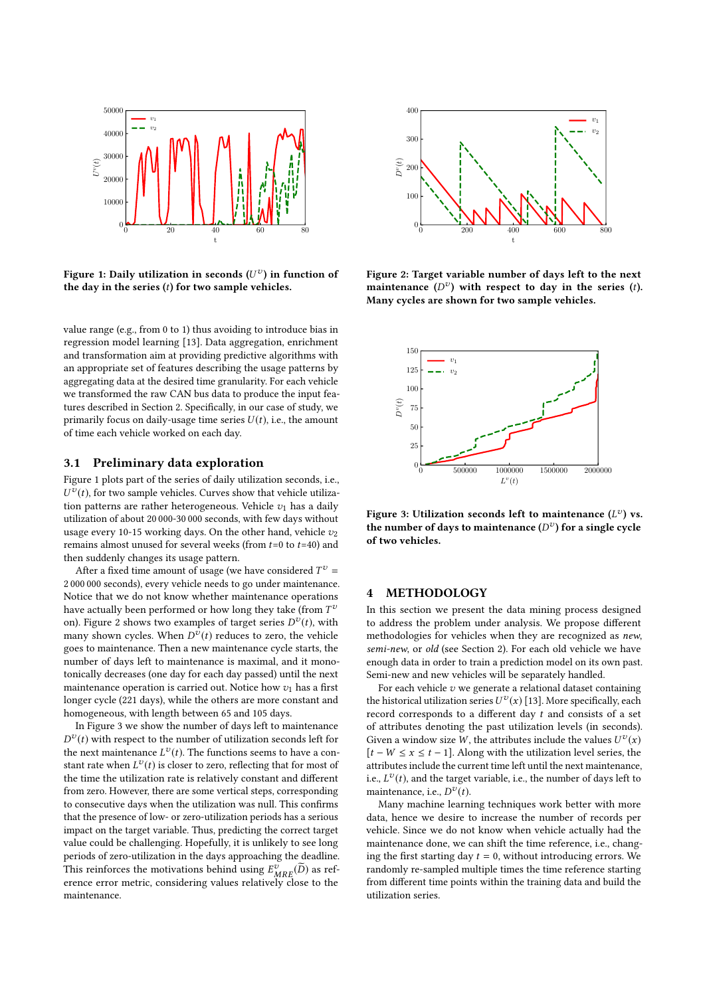

Figure 1: Daily utilization in seconds  $(U^\nu)$  in function of the day in the series  $(t)$  for two sample vehicles.

value range (e.g., from 0 to 1) thus avoiding to introduce bias in regression model learning [13]. Data aggregation, enrichment and transformation aim at providing predictive algorithms with an appropriate set of features describing the usage patterns by aggregating data at the desired time granularity. For each vehicle we transformed the raw CAN bus data to produce the input features described in Section 2. Specifically, in our case of study, we primarily focus on daily-usage time series  $U(t)$ , i.e., the amount of time each vehicle worked on each day.

#### 3.1 Preliminary data exploration

Figure 1 plots part of the series of daily utilization seconds, i.e.,  $U^v(t)$ , for two sample vehicles. Curves show that vehicle utilization patterns are rather heterogeneous. Vehicle  $v_1$  has a daily utilization of about 20 000-30 000 seconds, with few days without usage every 10-15 working days. On the other hand, vehicle  $v_2$ remains almost unused for several weeks (from  $t=0$  to  $t=40$ ) and then suddenly changes its usage pattern.

After a fixed time amount of usage (we have considered  $T^v$  = 2 000 000 seconds), every vehicle needs to go under maintenance. Notice that we do not know whether maintenance operations have actually been performed or how long they take (from  $T^{\nu}$ on). Figure 2 shows two examples of target series  $D^{\nu}(t)$ , with many shown cycles. When  $D^{\tilde{\boldsymbol{v}}}(t)$  reduces to zero, the vehicle goes to maintenance. Then a new maintenance cycle starts, the number of days left to maintenance is maximal, and it monotonically decreases (one day for each day passed) until the next maintenance operation is carried out. Notice how  $v_1$  has a first longer cycle (221 days), while the others are more constant and homogeneous, with length between 65 and 105 days.

In Figure 3 we show the number of days left to maintenance  $D^{\nu}(t)$  with respect to the number of utilization seconds left for the next maintenance  $L^v(t)$ . The functions seems to have a constant rate when  $L^v(t)$  is closer to zero, reflecting that for most of the time the utilization rate is relatively constant and different from zero. However, there are some vertical steps, corresponding to consecutive days when the utilization was null. This confirms that the presence of low- or zero-utilization periods has a serious impact on the target variable. Thus, predicting the correct target value could be challenging. Hopefully, it is unlikely to see long periods of zero-utilization in the days approaching the deadline. This reinforces the motivations behind using  $E_{MRE}^v(\widetilde{D})$  as reference error metric, considering values relatively close to the maintenance.



Figure 2: Target variable number of days left to the next maintenance  $(D^v)$  with respect to day in the series (t). Many cycles are shown for two sample vehicles.



Figure 3: Utilization seconds left to maintenance  $(L^{\nu})$  vs. the number of days to maintenance  $(D^v)$  for a single cycle of two vehicles.

## 4 METHODOLOGY

In this section we present the data mining process designed to address the problem under analysis. We propose different methodologies for vehicles when they are recognized as new, semi-new, or old (see Section 2). For each old vehicle we have enough data in order to train a prediction model on its own past. Semi-new and new vehicles will be separately handled.

For each vehicle  $v$  we generate a relational dataset containing the historical utilization series  $U^v(x)$  [13]. More specifically, each record corresponds to a different day t and consists of a set of attributes denoting the past utilization levels (in seconds). Given a window size W, the attributes include the values  $U^v(x)$  $[t - W \le x \le t - 1]$ . Along with the utilization level series, the attributes include the current time left until the next maintenance, i.e.,  $L^{\nu}(t)$ , and the target variable, i.e., the number of days left to maintenance, i.e.,  $D^{\nu}(t)$ .

Many machine learning techniques work better with more data, hence we desire to increase the number of records per vehicle. Since we do not know when vehicle actually had the maintenance done, we can shift the time reference, i.e., changing the first starting day  $t = 0$ , without introducing errors. We randomly re-sampled multiple times the time reference starting from different time points within the training data and build the utilization series.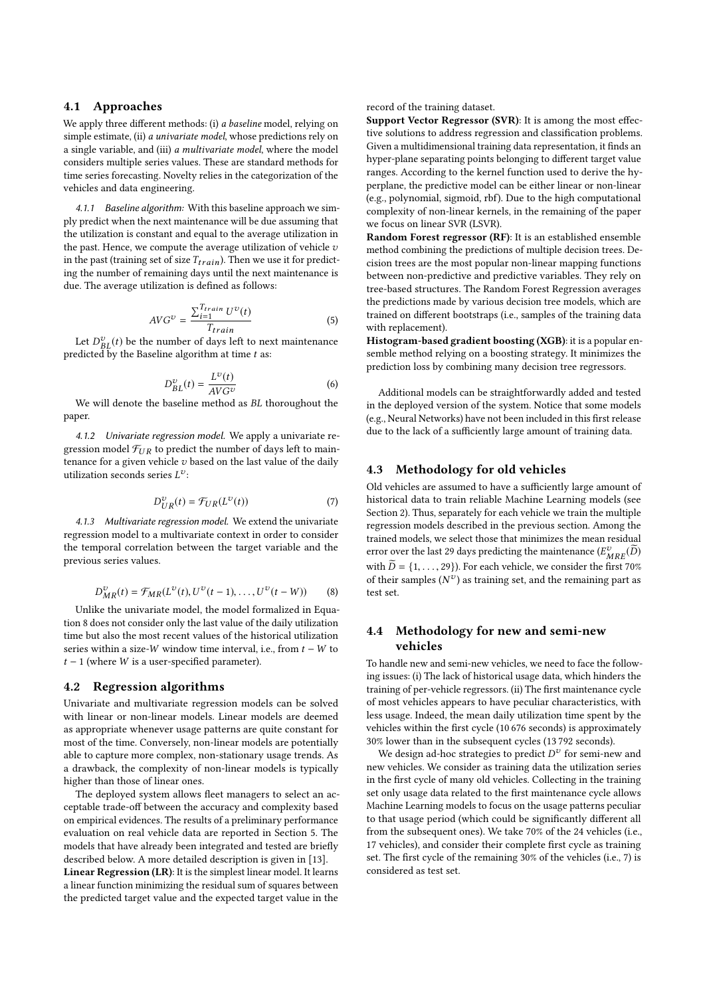### 4.1 Approaches

We apply three different methods: (i) a baseline model, relying on simple estimate, (ii) *a univariate model*, whose predictions rely on a single variable, and (iii) a multivariate model, where the model considers multiple series values. These are standard methods for time series forecasting. Novelty relies in the categorization of the vehicles and data engineering.

4.1.1 Baseline algorithm: With this baseline approach we simply predict when the next maintenance will be due assuming that the utilization is constant and equal to the average utilization in the past. Hence, we compute the average utilization of vehicle  $v$ in the past (training set of size  $T_{train}$ ). Then we use it for predicting the number of remaining days until the next maintenance is due. The average utilization is defined as follows:

$$
AVG^{\nu} = \frac{\sum_{i=1}^{T_{train}} U^{\nu}(t)}{T_{train}} \tag{5}
$$

Let  $D_{BL}^{v}(t)$  be the number of days left to next maintenance predicted by the Baseline algorithm at time  $t$  as:

$$
D_{BL}^{\nu}(t) = \frac{L^{\nu}(t)}{AVG^{\nu}}
$$
 (6)

We will denote the baseline method as BL thoroughout the paper.

4.1.2 Univariate regression model. We apply a univariate regression model  $\mathcal{F}_{UR}$  to predict the number of days left to maintenance for a given vehicle  $v$  based on the last value of the daily utilization seconds series  $L^v$ :

$$
D_{UR}^{\nu}(t) = \mathcal{F}_{UR}(L^{\nu}(t))\tag{7}
$$

4.1.3 Multivariate regression model. We extend the univariate regression model to a multivariate context in order to consider the temporal correlation between the target variable and the previous series values.

$$
D_{MR}^{\nu}(t) = \mathcal{F}_{MR}(L^{\nu}(t), U^{\nu}(t-1), \dots, U^{\nu}(t-W))
$$
 (8)

Unlike the univariate model, the model formalized in Equation 8 does not consider only the last value of the daily utilization time but also the most recent values of the historical utilization series within a size-W window time interval, i.e., from  $t - W$  to  $t - 1$  (where W is a user-specified parameter).

### 4.2 Regression algorithms

Univariate and multivariate regression models can be solved with linear or non-linear models. Linear models are deemed as appropriate whenever usage patterns are quite constant for most of the time. Conversely, non-linear models are potentially able to capture more complex, non-stationary usage trends. As a drawback, the complexity of non-linear models is typically higher than those of linear ones.

The deployed system allows fleet managers to select an acceptable trade-off between the accuracy and complexity based on empirical evidences. The results of a preliminary performance evaluation on real vehicle data are reported in Section 5. The models that have already been integrated and tested are briefly described below. A more detailed description is given in [13].

Linear Regression (LR): It is the simplest linear model. It learns a linear function minimizing the residual sum of squares between the predicted target value and the expected target value in the

#### record of the training dataset.

Support Vector Regressor (SVR): It is among the most effective solutions to address regression and classification problems. Given a multidimensional training data representation, it finds an hyper-plane separating points belonging to different target value ranges. According to the kernel function used to derive the hyperplane, the predictive model can be either linear or non-linear (e.g., polynomial, sigmoid, rbf). Due to the high computational complexity of non-linear kernels, in the remaining of the paper we focus on linear SVR (LSVR).

Random Forest regressor (RF): It is an established ensemble method combining the predictions of multiple decision trees. Decision trees are the most popular non-linear mapping functions between non-predictive and predictive variables. They rely on tree-based structures. The Random Forest Regression averages the predictions made by various decision tree models, which are trained on different bootstraps (i.e., samples of the training data with replacement).

Histogram-based gradient boosting (XGB): it is a popular ensemble method relying on a boosting strategy. It minimizes the prediction loss by combining many decision tree regressors.

Additional models can be straightforwardly added and tested in the deployed version of the system. Notice that some models (e.g., Neural Networks) have not been included in this first release due to the lack of a sufficiently large amount of training data.

#### 4.3 Methodology for old vehicles

Old vehicles are assumed to have a sufficiently large amount of historical data to train reliable Machine Learning models (see Section 2). Thus, separately for each vehicle we train the multiple regression models described in the previous section. Among the trained models, we select those that minimizes the mean residual error over the last 29 days predicting the maintenance  $(E^v_{MRE}(\widetilde{D}))$ with  $\widetilde{D} = \{1, \ldots, 29\}$ . For each vehicle, we consider the first 70% of their samples  $(N^{\upsilon})$  as training set, and the remaining part as test set.

## 4.4 Methodology for new and semi-new vehicles

To handle new and semi-new vehicles, we need to face the following issues: (i) The lack of historical usage data, which hinders the training of per-vehicle regressors. (ii) The first maintenance cycle of most vehicles appears to have peculiar characteristics, with less usage. Indeed, the mean daily utilization time spent by the vehicles within the first cycle (10 676 seconds) is approximately 30% lower than in the subsequent cycles (13 792 seconds).

We design ad-hoc strategies to predict  $D^v$  for semi-new and new vehicles. We consider as training data the utilization series in the first cycle of many old vehicles. Collecting in the training set only usage data related to the first maintenance cycle allows Machine Learning models to focus on the usage patterns peculiar to that usage period (which could be significantly different all from the subsequent ones). We take 70% of the 24 vehicles (i.e., 17 vehicles), and consider their complete first cycle as training set. The first cycle of the remaining 30% of the vehicles (i.e., 7) is considered as test set.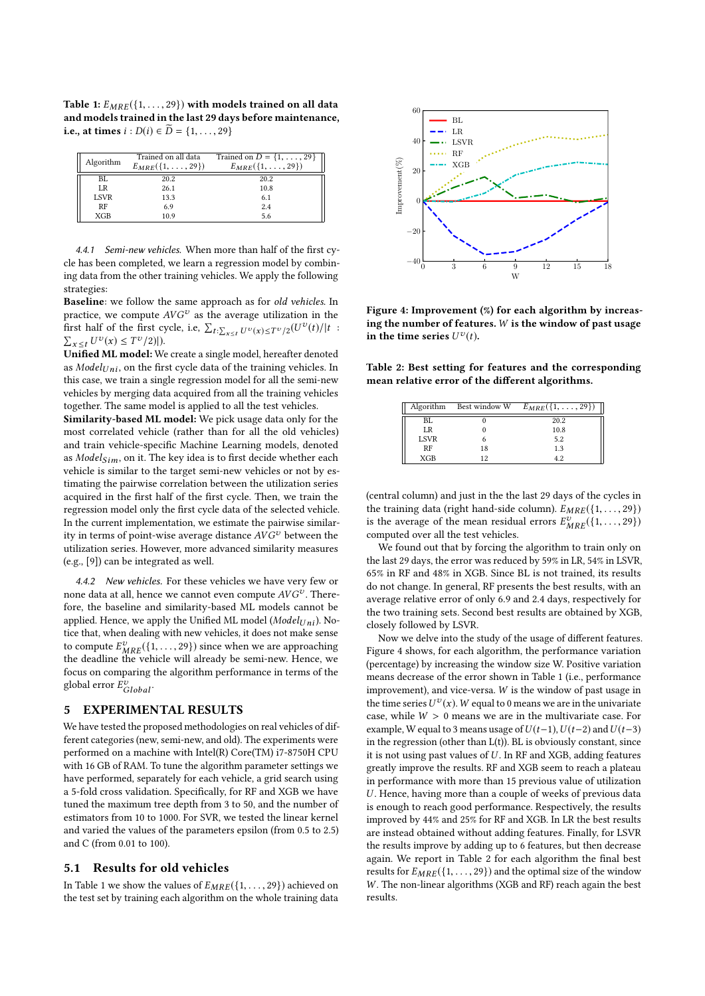Table 1:  $E_{MRE}(\{1, \ldots, 29\})$  with models trained on all data and models trained in the last 29 days before maintenance, i.e., at times *i* : *D*(*i*) ∈ *D* = {1, . . . , 29}

| Algorithm   | Trained on all data<br>$E_{MRE}(\{1,\ldots,29\})$ | Trained on $D = \{1, \ldots, 29\}$<br>$E_{MRE}(\{1, \ldots, 29\})$ |
|-------------|---------------------------------------------------|--------------------------------------------------------------------|
| BL.         | 20.2                                              | 20.2                                                               |
| LR          | 26.1                                              | 10.8                                                               |
| <b>LSVR</b> | 13.3                                              | 6.1                                                                |
| RF          | 6.9                                               | 2.4                                                                |
| <b>XGB</b>  | 10.9                                              | 5.6                                                                |

4.4.1 Semi-new vehicles. When more than half of the first cycle has been completed, we learn a regression model by combining data from the other training vehicles. We apply the following strategies:

Baseline: we follow the same approach as for old vehicles. In practice, we compute  $AVG^v$  as the average utilization in the first half of the first cycle, i.e,  $\sum_{t:\sum_{x\leq t}U^{\upsilon}(x)\leq T^{\upsilon}/2}(U^{\upsilon}(t)/|t|)$  $\sum_{x \leq t} U^{\nu}(x) \leq T^{\nu}/2$ ].

Unified ML model: We create a single model, hereafter denoted as  $Model_{Uni}$ , on the first cycle data of the training vehicles. In this case, we train a single regression model for all the semi-new vehicles by merging data acquired from all the training vehicles together. The same model is applied to all the test vehicles.

Similarity-based ML model: We pick usage data only for the most correlated vehicle (rather than for all the old vehicles) and train vehicle-specific Machine Learning models, denoted as  $ModelSim$ , on it. The key idea is to first decide whether each vehicle is similar to the target semi-new vehicles or not by estimating the pairwise correlation between the utilization series acquired in the first half of the first cycle. Then, we train the regression model only the first cycle data of the selected vehicle. In the current implementation, we estimate the pairwise similarity in terms of point-wise average distance  $AVG^v$  between the utilization series. However, more advanced similarity measures (e.g., [9]) can be integrated as well.

4.4.2 New vehicles. For these vehicles we have very few or none data at all, hence we cannot even compute  $\mathit{AVG}^v$  . Therefore, the baseline and similarity-based ML models cannot be applied. Hence, we apply the Unified ML model ( $ModelUni)$ . Notice that, when dealing with new vehicles, it does not make sense to compute  $E_{MRE}^v({1,\ldots,29})$  since when we are approaching<br>the deadline the vehicle will already be semi-new Hence, we the deadline the vehicle will already be semi-new. Hence, we focus on comparing the algorithm performance in terms of the global error  $E_{Global}^{v}$ .

## 5 EXPERIMENTAL RESULTS

We have tested the proposed methodologies on real vehicles of different categories (new, semi-new, and old). The experiments were performed on a machine with Intel(R) Core(TM) i7-8750H CPU with 16 GB of RAM. To tune the algorithm parameter settings we have performed, separately for each vehicle, a grid search using a 5-fold cross validation. Specifically, for RF and XGB we have tuned the maximum tree depth from 3 to 50, and the number of estimators from 10 to 1000. For SVR, we tested the linear kernel and varied the values of the parameters epsilon (from 0.5 to 2.5) and C (from 0.01 to 100).

#### 5.1 Results for old vehicles

In Table 1 we show the values of  $E_{MRE}(\{1, \ldots, 29\})$  achieved on the test set by training each algorithm on the whole training data



Figure 4: Improvement (%) for each algorithm by increasing the number of features.  $W$  is the window of past usage in the time series  $U^v(t)$ .

Table 2: Best setting for features and the corresponding mean relative error of the different algorithms.

|             | Algorithm Best window W | $E_{MRE}(\{1,\ldots,29\})$ |
|-------------|-------------------------|----------------------------|
| BL.         |                         | 20.2                       |
| LR          |                         | 10.8                       |
| <b>LSVR</b> |                         | 5.2                        |
| RF          | 18                      | 1.3                        |
| XGB         | 19                      | 42                         |

(central column) and just in the the last 29 days of the cycles in the training data (right hand-side column).  $E_{MRE}(\{1, \ldots, 29\})$ is the average of the mean residual errors  $E_{MRE}^{v}(\{1,\ldots,29\})$ <br>computed over all the test vehicles computed over all the test vehicles.

We found out that by forcing the algorithm to train only on the last 29 days, the error was reduced by 59% in LR, 54% in LSVR, 65% in RF and 48% in XGB. Since BL is not trained, its results do not change. In general, RF presents the best results, with an average relative error of only 6.9 and 2.4 days, respectively for the two training sets. Second best results are obtained by XGB, closely followed by LSVR.

Now we delve into the study of the usage of different features. Figure 4 shows, for each algorithm, the performance variation (percentage) by increasing the window size W. Positive variation means decrease of the error shown in Table 1 (i.e., performance improvement), and vice-versa. W is the window of past usage in the time series  $U^v(x)$ . W equal to 0 means we are in the univariate case, while  $W > 0$  means we are in the multivariate case. For example, W equal to 3 means usage of  $U(t-1)$ ,  $U(t-2)$  and  $U(t-3)$ in the regression (other than L(t)). BL is obviously constant, since it is not using past values of  $U$ . In RF and XGB, adding features greatly improve the results. RF and XGB seem to reach a plateau in performance with more than 15 previous value of utilization U. Hence, having more than a couple of weeks of previous data is enough to reach good performance. Respectively, the results improved by 44% and 25% for RF and XGB. In LR the best results are instead obtained without adding features. Finally, for LSVR the results improve by adding up to 6 features, but then decrease again. We report in Table 2 for each algorithm the final best results for  $E_{MRE}(\{1, \ldots, 29\})$  and the optimal size of the window W. The non-linear algorithms (XGB and RF) reach again the best results.